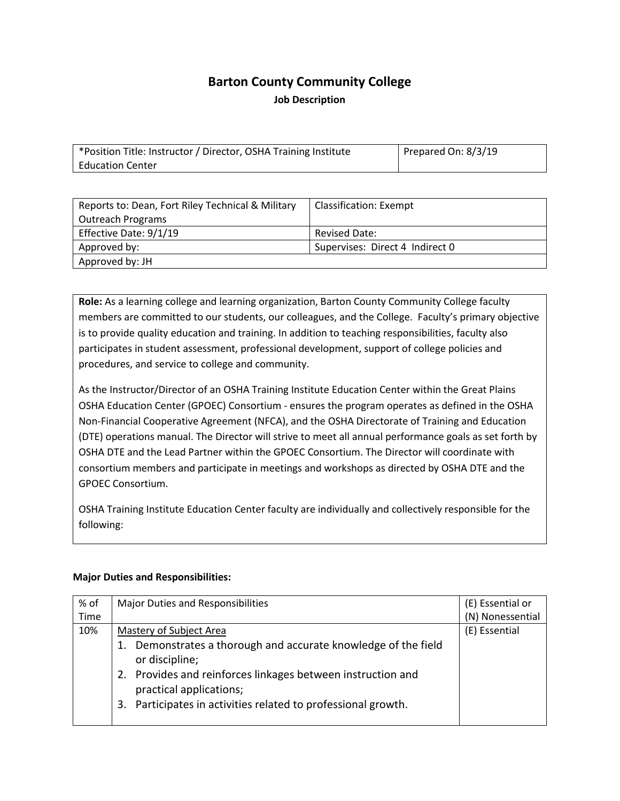# **Barton County Community College Job Description**

\*Position Title: Instructor / Director, OSHA Training Institute Education Center Prepared On: 8/3/19

| Reports to: Dean, Fort Riley Technical & Military | <b>Classification: Exempt</b>   |
|---------------------------------------------------|---------------------------------|
| <b>Outreach Programs</b>                          |                                 |
| Effective Date: 9/1/19                            | <b>Revised Date:</b>            |
| Approved by:                                      | Supervises: Direct 4 Indirect 0 |
| Approved by: JH                                   |                                 |

**Role:** As a learning college and learning organization, Barton County Community College faculty members are committed to our students, our colleagues, and the College. Faculty's primary objective is to provide quality education and training. In addition to teaching responsibilities, faculty also participates in student assessment, professional development, support of college policies and procedures, and service to college and community.

As the Instructor/Director of an OSHA Training Institute Education Center within the Great Plains OSHA Education Center (GPOEC) Consortium - ensures the program operates as defined in the OSHA Non-Financial Cooperative Agreement (NFCA), and the OSHA Directorate of Training and Education (DTE) operations manual. The Director will strive to meet all annual performance goals as set forth by OSHA DTE and the Lead Partner within the GPOEC Consortium. The Director will coordinate with consortium members and participate in meetings and workshops as directed by OSHA DTE and the GPOEC Consortium.

OSHA Training Institute Education Center faculty are individually and collectively responsible for the following:

#### **Major Duties and Responsibilities:**

| % of | <b>Major Duties and Responsibilities</b>                                               | (E) Essential or |
|------|----------------------------------------------------------------------------------------|------------------|
| Time |                                                                                        | (N) Nonessential |
| 10%  | Mastery of Subject Area                                                                | (E) Essential    |
|      | 1. Demonstrates a thorough and accurate knowledge of the field<br>or discipline;       |                  |
|      | 2. Provides and reinforces linkages between instruction and<br>practical applications; |                  |
|      | Participates in activities related to professional growth.<br>3.                       |                  |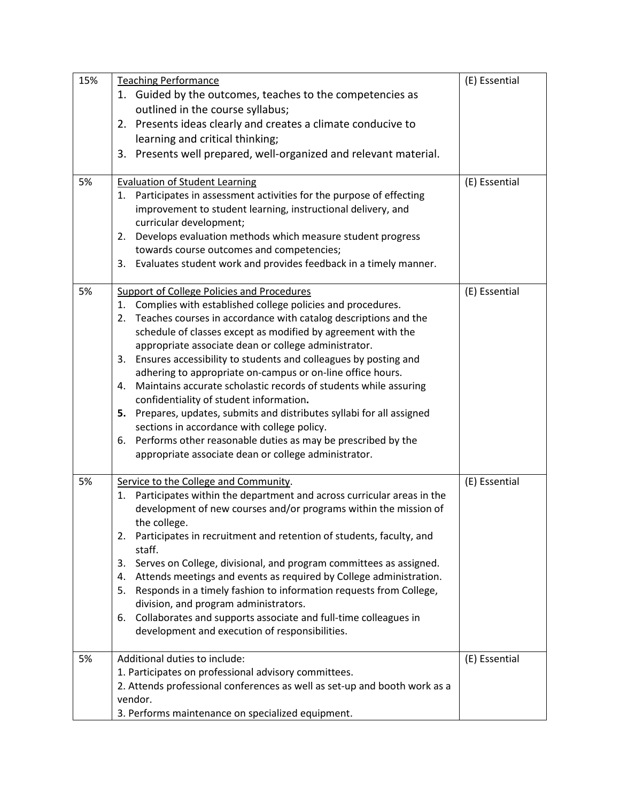| 15% | <b>Teaching Performance</b>                                                          | (E) Essential |
|-----|--------------------------------------------------------------------------------------|---------------|
|     | 1. Guided by the outcomes, teaches to the competencies as                            |               |
|     | outlined in the course syllabus;                                                     |               |
|     | 2. Presents ideas clearly and creates a climate conducive to                         |               |
|     | learning and critical thinking;                                                      |               |
|     | Presents well prepared, well-organized and relevant material.<br>3.                  |               |
|     |                                                                                      |               |
| 5%  | <b>Evaluation of Student Learning</b>                                                | (E) Essential |
|     | 1. Participates in assessment activities for the purpose of effecting                |               |
|     | improvement to student learning, instructional delivery, and                         |               |
|     | curricular development;                                                              |               |
|     | Develops evaluation methods which measure student progress<br>2.                     |               |
|     | towards course outcomes and competencies;                                            |               |
|     | Evaluates student work and provides feedback in a timely manner.<br>3.               |               |
|     |                                                                                      |               |
| 5%  | <b>Support of College Policies and Procedures</b>                                    | (E) Essential |
|     | Complies with established college policies and procedures.<br>1.                     |               |
|     | Teaches courses in accordance with catalog descriptions and the<br>2.                |               |
|     | schedule of classes except as modified by agreement with the                         |               |
|     | appropriate associate dean or college administrator.                                 |               |
|     | Ensures accessibility to students and colleagues by posting and<br>3.                |               |
|     | adhering to appropriate on-campus or on-line office hours.                           |               |
|     | Maintains accurate scholastic records of students while assuring<br>4.               |               |
|     | confidentiality of student information.                                              |               |
|     | 5. Prepares, updates, submits and distributes syllabi for all assigned               |               |
|     | sections in accordance with college policy.                                          |               |
|     | Performs other reasonable duties as may be prescribed by the<br>6.                   |               |
|     | appropriate associate dean or college administrator.                                 |               |
| 5%  | Service to the College and Community.                                                | (E) Essential |
|     | 1. Participates within the department and across curricular areas in the             |               |
|     | development of new courses and/or programs within the mission of                     |               |
|     | the college.                                                                         |               |
|     | Participates in recruitment and retention of students, faculty, and<br>2.            |               |
|     | staff.                                                                               |               |
|     | Serves on College, divisional, and program committees as assigned.<br>3.             |               |
|     | Attends meetings and events as required by College administration.<br>4.             |               |
|     | Responds in a timely fashion to information requests from College,<br>5.             |               |
|     | division, and program administrators.                                                |               |
|     | Collaborates and supports associate and full-time colleagues in<br>6.                |               |
|     | development and execution of responsibilities.                                       |               |
|     |                                                                                      |               |
| 5%  | Additional duties to include:                                                        | (E) Essential |
|     | 1. Participates on professional advisory committees.                                 |               |
|     | 2. Attends professional conferences as well as set-up and booth work as a<br>vendor. |               |
|     |                                                                                      |               |
|     | 3. Performs maintenance on specialized equipment.                                    |               |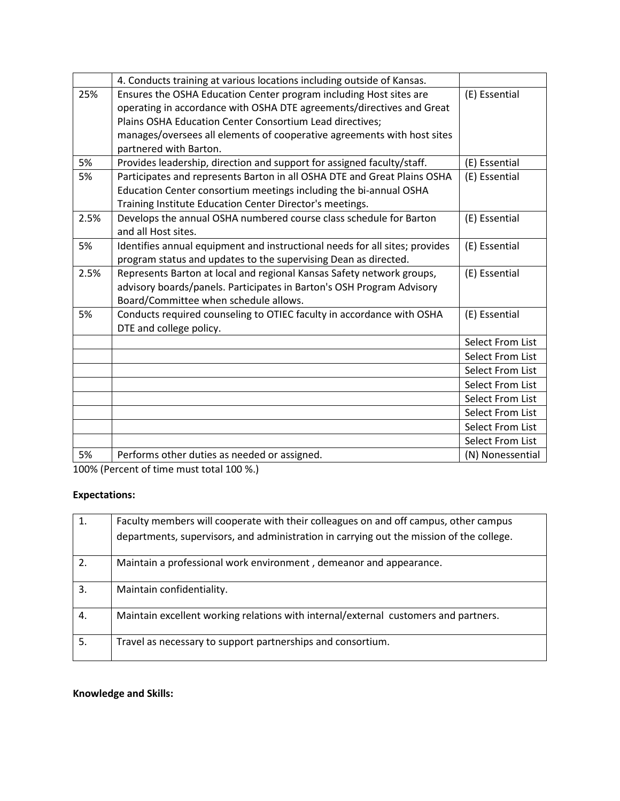|      | 4. Conducts training at various locations including outside of Kansas.                    |                  |
|------|-------------------------------------------------------------------------------------------|------------------|
| 25%  | Ensures the OSHA Education Center program including Host sites are                        | (E) Essential    |
|      | operating in accordance with OSHA DTE agreements/directives and Great                     |                  |
|      | Plains OSHA Education Center Consortium Lead directives;                                  |                  |
|      | manages/oversees all elements of cooperative agreements with host sites                   |                  |
|      | partnered with Barton.                                                                    |                  |
| 5%   | Provides leadership, direction and support for assigned faculty/staff.                    | (E) Essential    |
| 5%   | Participates and represents Barton in all OSHA DTE and Great Plains OSHA                  | (E) Essential    |
|      | Education Center consortium meetings including the bi-annual OSHA                         |                  |
|      | Training Institute Education Center Director's meetings.                                  |                  |
| 2.5% | Develops the annual OSHA numbered course class schedule for Barton<br>and all Host sites. | (E) Essential    |
| 5%   | Identifies annual equipment and instructional needs for all sites; provides               | (E) Essential    |
|      | program status and updates to the supervising Dean as directed.                           |                  |
| 2.5% | Represents Barton at local and regional Kansas Safety network groups,                     | (E) Essential    |
|      | advisory boards/panels. Participates in Barton's OSH Program Advisory                     |                  |
|      | Board/Committee when schedule allows.                                                     |                  |
| 5%   | Conducts required counseling to OTIEC faculty in accordance with OSHA                     | (E) Essential    |
|      | DTE and college policy.                                                                   |                  |
|      |                                                                                           | Select From List |
|      |                                                                                           | Select From List |
|      |                                                                                           | Select From List |
|      |                                                                                           | Select From List |
|      |                                                                                           | Select From List |
|      |                                                                                           | Select From List |
|      |                                                                                           | Select From List |
|      |                                                                                           | Select From List |
| 5%   | Performs other duties as needed or assigned.                                              | (N) Nonessential |

100% (Percent of time must total 100 %.)

### **Expectations:**

| 1. | Faculty members will cooperate with their colleagues on and off campus, other campus     |
|----|------------------------------------------------------------------------------------------|
|    | departments, supervisors, and administration in carrying out the mission of the college. |
| 2. | Maintain a professional work environment, demeanor and appearance.                       |
| 3. | Maintain confidentiality.                                                                |
| 4. | Maintain excellent working relations with internal/external customers and partners.      |
| 5. | Travel as necessary to support partnerships and consortium.                              |

## **Knowledge and Skills:**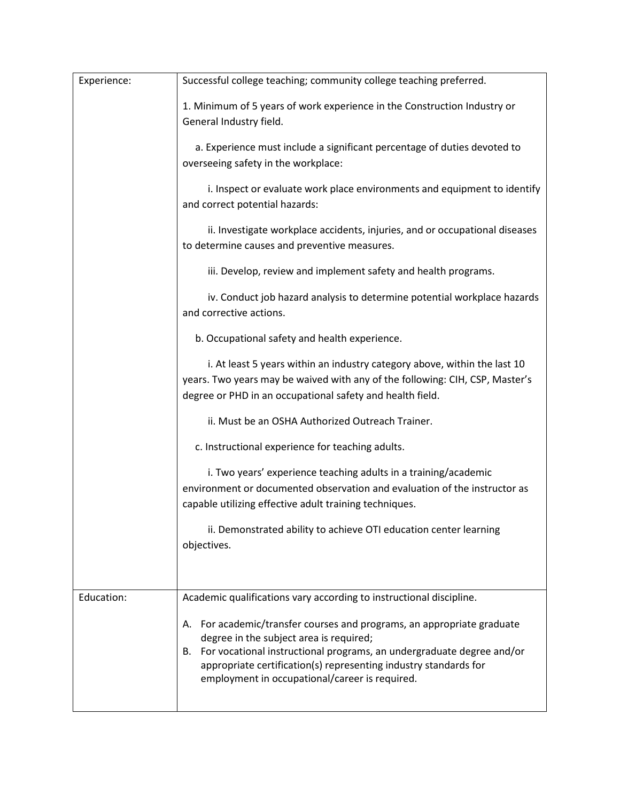| Successful college teaching; community college teaching preferred.                                                                                                                                                                                                                                                  |
|---------------------------------------------------------------------------------------------------------------------------------------------------------------------------------------------------------------------------------------------------------------------------------------------------------------------|
| 1. Minimum of 5 years of work experience in the Construction Industry or<br>General Industry field.                                                                                                                                                                                                                 |
| a. Experience must include a significant percentage of duties devoted to<br>overseeing safety in the workplace:                                                                                                                                                                                                     |
| i. Inspect or evaluate work place environments and equipment to identify<br>and correct potential hazards:                                                                                                                                                                                                          |
| ii. Investigate workplace accidents, injuries, and or occupational diseases<br>to determine causes and preventive measures.                                                                                                                                                                                         |
| iii. Develop, review and implement safety and health programs.                                                                                                                                                                                                                                                      |
| iv. Conduct job hazard analysis to determine potential workplace hazards<br>and corrective actions.                                                                                                                                                                                                                 |
| b. Occupational safety and health experience.                                                                                                                                                                                                                                                                       |
| i. At least 5 years within an industry category above, within the last 10<br>years. Two years may be waived with any of the following: CIH, CSP, Master's<br>degree or PHD in an occupational safety and health field.                                                                                              |
| ii. Must be an OSHA Authorized Outreach Trainer.                                                                                                                                                                                                                                                                    |
| c. Instructional experience for teaching adults.                                                                                                                                                                                                                                                                    |
| i. Two years' experience teaching adults in a training/academic<br>environment or documented observation and evaluation of the instructor as<br>capable utilizing effective adult training techniques.                                                                                                              |
| ii. Demonstrated ability to achieve OTI education center learning<br>objectives.                                                                                                                                                                                                                                    |
|                                                                                                                                                                                                                                                                                                                     |
| Academic qualifications vary according to instructional discipline.                                                                                                                                                                                                                                                 |
| A. For academic/transfer courses and programs, an appropriate graduate<br>degree in the subject area is required;<br>B. For vocational instructional programs, an undergraduate degree and/or<br>appropriate certification(s) representing industry standards for<br>employment in occupational/career is required. |
|                                                                                                                                                                                                                                                                                                                     |